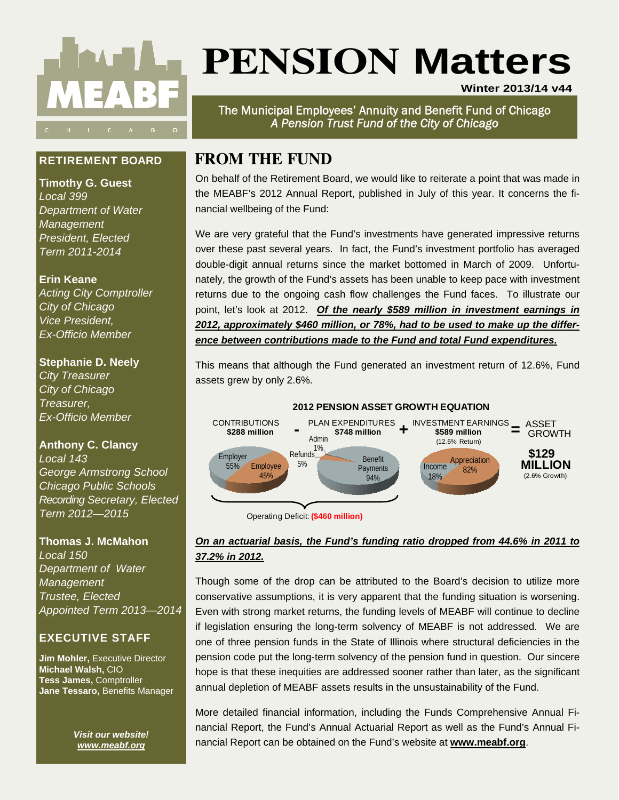

# **PENSION Matters**

**Winter 2013/14 v44**

The Municipal Employees' Annuity and Benefit Fund of Chicago *A Pension Trust Fund of the City of Chicago* 

# **FROM THE FUND**

On behalf of the Retirement Board, we would like to reiterate a point that was made in the MEABF's 2012 Annual Report, published in July of this year. It concerns the financial wellbeing of the Fund:

We are very grateful that the Fund's investments have generated impressive returns over these past several years. In fact, the Fund's investment portfolio has averaged double-digit annual returns since the market bottomed in March of 2009. Unfortunately, the growth of the Fund's assets has been unable to keep pace with investment returns due to the ongoing cash flow challenges the Fund faces. To illustrate our point, let's look at 2012. *Of the nearly \$589 million in investment earnings in 2012, approximately \$460 million, or 78%, had to be used to make up the difference between contributions made to the Fund and total Fund expenditures.*

This means that although the Fund generated an investment return of 12.6%, Fund assets grew by only 2.6%.



Operating Deficit: **(\$460 million)**

# *On an actuarial basis, the Fund's funding ratio dropped from 44.6% in 2011 to 37.2% in 2012.*

Though some of the drop can be attributed to the Board's decision to utilize more conservative assumptions, it is very apparent that the funding situation is worsening. Even with strong market returns, the funding levels of MEABF will continue to decline if legislation ensuring the long-term solvency of MEABF is not addressed. We are one of three pension funds in the State of Illinois where structural deficiencies in the pension code put the long-term solvency of the pension fund in question. Our sincere hope is that these inequities are addressed sooner rather than later, as the significant annual depletion of MEABF assets results in the unsustainability of the Fund.

More detailed financial information, including the Funds Comprehensive Annual Financial Report, the Fund's Annual Actuarial Report as well as the Fund's Annual Financial Report can be obtained on the Fund's website at **www.meabf.org**.

# **RETIREMENT BOARD**

**Timothy G. Guest**  *Local 399 Department of Water Management President, Elected Term 2011-2014* 

# **Erin Keane**

*Acting City Comptroller City of Chicago Vice President, Ex-Officio Member* 

# **Stephanie D. Neely**

*City Treasurer City of Chicago Treasurer, Ex-Officio Member* 

# **Anthony C. Clancy**

*Local 143 George Armstrong School Chicago Public Schools Recording Secretary, Elected Term 2012—2015* 

#### **Thomas J. McMahon**

*Local 150 Department of Water Management Trustee, Elected Appointed Term 2013—2014* 

# **EXECUTIVE STAFF**

**Jim Mohler, Executive Director Michael Walsh,** CIO **Tess James,** Comptroller **Jane Tessaro,** Benefits Manager

> *Visit our website! www.meabf.org*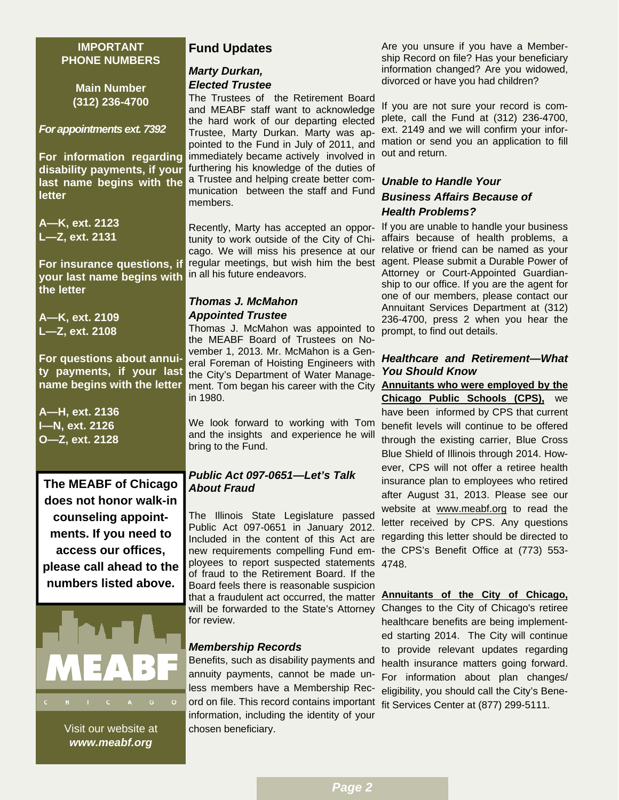#### **IMPORTANT PHONE NUMBERS**

**Main Number (312) 236-4700** 

#### *For appointments ext. 7392*

**For information regarding disability payments, if your last name begins with the letter** 

**A—K, ext. 2123 L—Z, ext. 2131** 

**For insurance questions, if your last name begins with the letter** 

**A—K, ext. 2109 L—Z, ext. 2108** 

**For questions about annuity payments, if your last name begins with the letter** 

**A—H, ext. 2136 I—N, ext. 2126 O—Z, ext. 2128** 

**The MEABF of Chicago does not honor walk-in counseling appointments. If you need to access our offices, please call ahead to the numbers listed above.** 



Visit our website at *www.meabf.org* 

# **Fund Updates**

#### *Marty Durkan, Elected Trustee*

The Trustees of the Retirement Board and MEABF staff want to acknowledge the hard work of our departing elected Trustee, Marty Durkan. Marty was appointed to the Fund in July of 2011, and mation or send you an application to fill immediately became actively involved in furthering his knowledge of the duties of a Trustee and helping create better communication between the staff and Fund members.

cago. We will miss his presence at our in all his future endeavors.

#### *Thomas J. McMahon Appointed Trustee*

Thomas J. McMahon was appointed to the MEABF Board of Trustees on November 1, 2013. Mr. McMahon is a General Foreman of Hoisting Engineers with the City's Department of Water Management. Tom began his career with the City **Annuitants who were employed by the**  in 1980.

We look forward to working with Tom and the insights and experience he will bring to the Fund.

# *Public Act 097-0651—Let's Talk About Fraud*

The Illinois State Legislature passed Public Act 097-0651 in January 2012. Included in the content of this Act are new requirements compelling Fund em-the CPS's Benefit Office at (773) 553 ployees to report suspected statements 4748. of fraud to the Retirement Board. If the Board feels there is reasonable suspicion that a fraudulent act occurred, the matter will be forwarded to the State's Attorney Changes to the City of Chicago's retiree for review.

# *Membership Records*

Benefits, such as disability payments and annuity payments, cannot be made unless members have a Membership Record on file. This record contains important fit Services Center at (877) 299-5111.information, including the identity of your chosen beneficiary.

Are you unsure if you have a Membership Record on file? Has your beneficiary information changed? Are you widowed, divorced or have you had children?

If you are not sure your record is complete, call the Fund at (312) 236-4700, ext. 2149 and we will confirm your inforout and return.

# *Unable to Handle Your Business Affairs Because of Health Problems?*

Recently, Marty has accepted an oppor-If you are unable to handle your business tunity to work outside of the City of Chi-affairs because of health problems, a regular meetings, but wish him the best agent. Please submit a Durable Power of relative or friend can be named as your Attorney or Court-Appointed Guardianship to our office. If you are the agent for one of our members, please contact our Annuitant Services Department at (312) 236-4700, press 2 when you hear the prompt, to find out details.

## *Healthcare and Retirement—What You Should Know*

**Chicago Public Schools (CPS),** we have been informed by CPS that current benefit levels will continue to be offered through the existing carrier, Blue Cross Blue Shield of Illinois through 2014. However, CPS will not offer a retiree health insurance plan to employees who retired after August 31, 2013. Please see our website at www.meabf.org to read the letter received by CPS. Any questions regarding this letter should be directed to

# **Annuitants of the City of Chicago,**

healthcare benefits are being implemented starting 2014. The City will continue to provide relevant updates regarding health insurance matters going forward. For information about plan changes/ eligibility, you should call the City's Bene-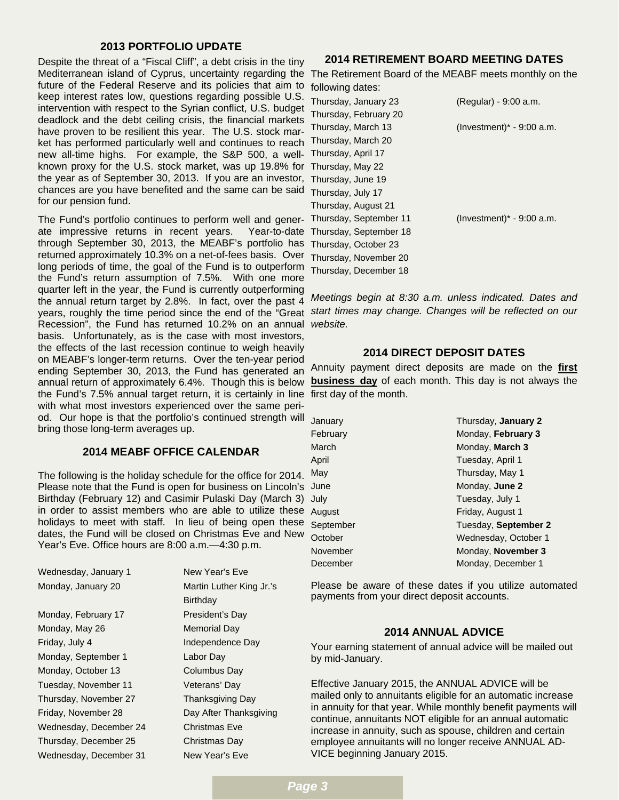#### **2013 PORTFOLIO UPDATE**

Despite the threat of a "Fiscal Cliff", a debt crisis in the tiny Mediterranean island of Cyprus, uncertainty regarding the The Retirement Board of the MEABF meets monthly on the future of the Federal Reserve and its policies that aim to keep interest rates low, questions regarding possible U.S. intervention with respect to the Syrian conflict, U.S. budget deadlock and the debt ceiling crisis, the financial markets have proven to be resilient this year. The U.S. stock market has performed particularly well and continues to reach new all-time highs. For example, the S&P 500, a wellknown proxy for the U.S. stock market, was up 19.8% for the year as of September 30, 2013. If you are an investor, chances are you have benefited and the same can be said for our pension fund.

The Fund's portfolio continues to perform well and generate impressive returns in recent years. Year-to-date through September 30, 2013, the MEABF's portfolio has returned approximately 10.3% on a net-of-fees basis. Over long periods of time, the goal of the Fund is to outperform the Fund's return assumption of 7.5%. With one more quarter left in the year, the Fund is currently outperforming the annual return target by 2.8%. In fact, over the past 4 years, roughly the time period since the end of the "Great *start times may change. Changes will be reflected on our*  Recession", the Fund has returned 10.2% on an annual basis. Unfortunately, as is the case with most investors, the effects of the last recession continue to weigh heavily on MEABF's longer-term returns. Over the ten-year period ending September 30, 2013, the Fund has generated an annual return of approximately 6.4%. Though this is below the Fund's 7.5% annual target return, it is certainly in line with what most investors experienced over the same period. Our hope is that the portfolio's continued strength will bring those long-term averages up.

#### **2014 MEABF OFFICE CALENDAR**

The following is the holiday schedule for the office for 2014. Please note that the Fund is open for business on Lincoln's Birthday (February 12) and Casimir Pulaski Day (March 3) in order to assist members who are able to utilize these holidays to meet with staff. In lieu of being open these dates, the Fund will be closed on Christmas Eve and New Year's Eve. Office hours are 8:00 a.m.—4:30 p.m.

| Wednesday, January 1   |
|------------------------|
| Monday, January 20     |
|                        |
| Monday, February 17    |
| Monday, May 26         |
| Friday, July 4         |
| Monday, September 1    |
| Monday, October 13     |
| Tuesday, November 11   |
| Thursday, November 27  |
| Friday, November 28    |
| Wednesday, December 24 |
| Thursday, December 25  |
| Wednesday, December 31 |

New Year's Eve Martin Luther King Jr.'s **Birthday** President's Day Memorial Day Independence Day Labor Day Columbus Day Veterans' Day Thanksgiving Day Day After Thanksgiving Christmas Eve Christmas Day New Year's Eve

#### **2014 RETIREMENT BOARD MEETING DATES**

following dates:

| Thursday, January 23   | (Regular) - 9:00 a.m.        |
|------------------------|------------------------------|
| Thursday, February 20  |                              |
| Thursday, March 13     | (Investment) $*$ - 9:00 a.m. |
| Thursday, March 20     |                              |
| Thursday, April 17     |                              |
| Thursday, May 22       |                              |
| Thursday, June 19      |                              |
| Thursday, July 17      |                              |
| Thursday, August 21    |                              |
| Thursday, September 11 | (Investment) $*$ - 9:00 a.m. |
| Thursday, September 18 |                              |
| Thursday, October 23   |                              |
| Thursday, November 20  |                              |
| Thursday, December 18  |                              |

*Meetings begin at 8:30 a.m. unless indicated. Dates and website.* 

#### **2014 DIRECT DEPOSIT DATES**

Annuity payment direct deposits are made on the **first business day** of each month. This day is not always the first day of the month.

| January   | Thursday, January 2  |
|-----------|----------------------|
| February  | Monday, February 3   |
| March     | Monday, March 3      |
| April     | Tuesday, April 1     |
| May       | Thursday, May 1      |
| June      | Monday, June 2       |
| July      | Tuesday, July 1      |
| August    | Friday, August 1     |
| September | Tuesday, September 2 |
| October   | Wednesday, October 1 |
| November  | Monday, November 3   |
| December  | Monday, December 1   |

Please be aware of these dates if you utilize automated payments from your direct deposit accounts.

# **2014 ANNUAL ADVICE**

Your earning statement of annual advice will be mailed out by mid-January.

Effective January 2015, the ANNUAL ADVICE will be mailed only to annuitants eligible for an automatic increase in annuity for that year. While monthly benefit payments will continue, annuitants NOT eligible for an annual automatic increase in annuity, such as spouse, children and certain employee annuitants will no longer receive ANNUAL AD-VICE beginning January 2015.